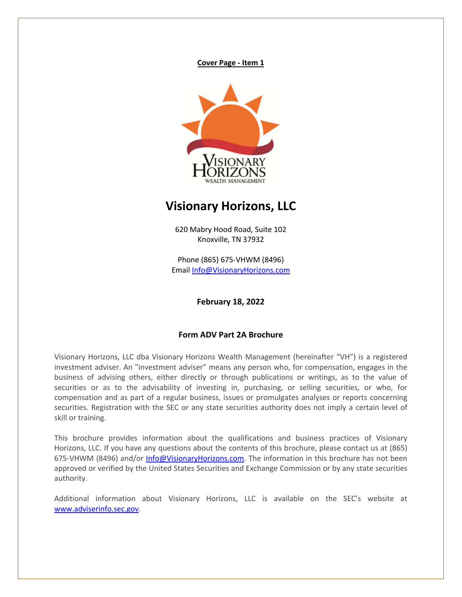**Cover Page - Item 1**



# **Visionary Horizons, LLC**

620 Mabry Hood Road, Suite 102 Knoxville, TN 37932

Phone (865) 675-VHWM (8496) Email Info@VisionaryHorizons.com

**February 18, 2022**

#### **Form ADV Part 2A Brochure**

Visionary Horizons, LLC dba Visionary Horizons Wealth Management (hereinafter "VH") is a registered investment adviser. An "investment adviser" means any person who, for compensation, engages in the business of advising others, either directly or through publications or writings, as to the value of securities or as to the advisability of investing in, purchasing, or selling securities, or who, for compensation and as part of a regular business, issues or promulgates analyses or reports concerning securities. Registration with the SEC or any state securities authority does not imply a certain level of skill or training.

This brochure provides information about the qualifications and business practices of Visionary Horizons, LLC. If you have any questions about the contents of this brochure, please contact us at (865) 675-VHWM (8496) and/or Info@VisionaryHorizons.com. The information in this brochure has not been approved or verified by the United States Securities and Exchange Commission or by any state securities authority.

Additional information about Visionary Horizons, LLC is available on the SEC's website at www.adviserinfo.sec.gov.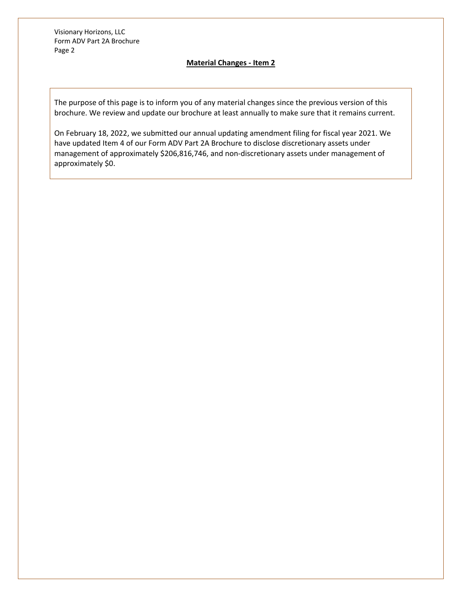## **Material Changes - Item 2**

The purpose of this page is to inform you of any material changes since the previous version of this brochure. We review and update our brochure at least annually to make sure that it remains current.

On February 18, 2022, we submitted our annual updating amendment filing for fiscal year 2021. We have updated Item 4 of our Form ADV Part 2A Brochure to disclose discretionary assets under management of approximately \$206,816,746, and non-discretionary assets under management of approximately \$0.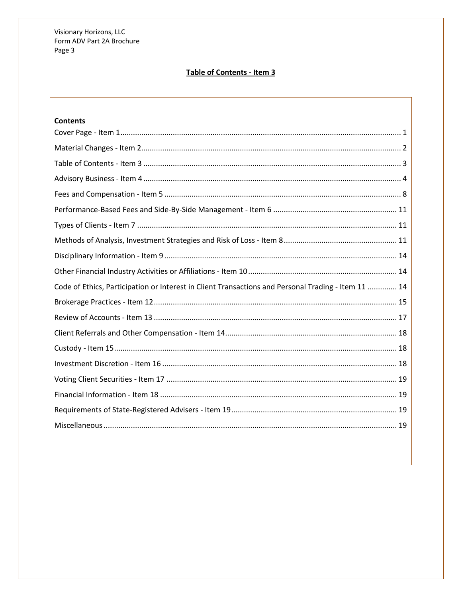## Table of Contents - Item 3

| <b>Contents</b>                                                                                     |
|-----------------------------------------------------------------------------------------------------|
|                                                                                                     |
|                                                                                                     |
|                                                                                                     |
|                                                                                                     |
|                                                                                                     |
|                                                                                                     |
|                                                                                                     |
|                                                                                                     |
|                                                                                                     |
|                                                                                                     |
| Code of Ethics, Participation or Interest in Client Transactions and Personal Trading - Item 11  14 |
|                                                                                                     |
|                                                                                                     |
|                                                                                                     |
|                                                                                                     |
|                                                                                                     |
|                                                                                                     |
|                                                                                                     |
|                                                                                                     |
|                                                                                                     |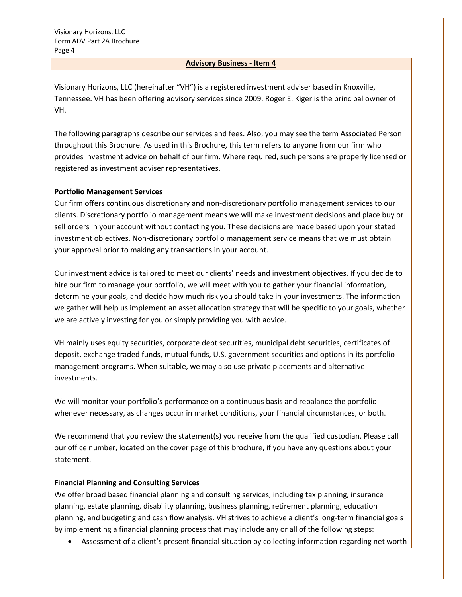#### **Advisory Business - Item 4**

Visionary Horizons, LLC (hereinafter "VH") is a registered investment adviser based in Knoxville, Tennessee. VH has been offering advisory services since 2009. Roger E. Kiger is the principal owner of VH.

The following paragraphs describe our services and fees. Also, you may see the term Associated Person throughout this Brochure. As used in this Brochure, this term refers to anyone from our firm who provides investment advice on behalf of our firm. Where required, such persons are properly licensed or registered as investment adviser representatives.

## **Portfolio Management Services**

Our firm offers continuous discretionary and non-discretionary portfolio management services to our clients. Discretionary portfolio management means we will make investment decisions and place buy or sell orders in your account without contacting you. These decisions are made based upon your stated investment objectives. Non-discretionary portfolio management service means that we must obtain your approval prior to making any transactions in your account.

Our investment advice is tailored to meet our clients' needs and investment objectives. If you decide to hire our firm to manage your portfolio, we will meet with you to gather your financial information, determine your goals, and decide how much risk you should take in your investments. The information we gather will help us implement an asset allocation strategy that will be specific to your goals, whether we are actively investing for you or simply providing you with advice.

VH mainly uses equity securities, corporate debt securities, municipal debt securities, certificates of deposit, exchange traded funds, mutual funds, U.S. government securities and options in its portfolio management programs. When suitable, we may also use private placements and alternative investments.

We will monitor your portfolio's performance on a continuous basis and rebalance the portfolio whenever necessary, as changes occur in market conditions, your financial circumstances, or both.

We recommend that you review the statement(s) you receive from the qualified custodian. Please call our office number, located on the cover page of this brochure, if you have any questions about your statement.

## **Financial Planning and Consulting Services**

We offer broad based financial planning and consulting services, including tax planning, insurance planning, estate planning, disability planning, business planning, retirement planning, education planning, and budgeting and cash flow analysis. VH strives to achieve a client's long-term financial goals by implementing a financial planning process that may include any or all of the following steps:

• Assessment of a client's present financial situation by collecting information regarding net worth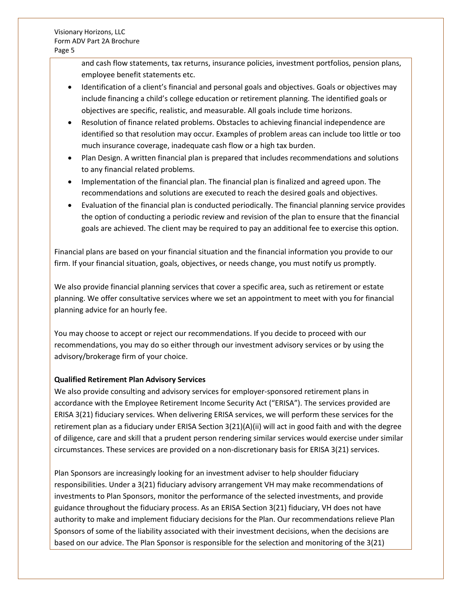and cash flow statements, tax returns, insurance policies, investment portfolios, pension plans, employee benefit statements etc.

- Identification of a client's financial and personal goals and objectives. Goals or objectives may include financing a child's college education or retirement planning. The identified goals or objectives are specific, realistic, and measurable. All goals include time horizons.
- Resolution of finance related problems. Obstacles to achieving financial independence are identified so that resolution may occur. Examples of problem areas can include too little or too much insurance coverage, inadequate cash flow or a high tax burden.
- Plan Design. A written financial plan is prepared that includes recommendations and solutions to any financial related problems.
- Implementation of the financial plan. The financial plan is finalized and agreed upon. The recommendations and solutions are executed to reach the desired goals and objectives.
- Evaluation of the financial plan is conducted periodically. The financial planning service provides the option of conducting a periodic review and revision of the plan to ensure that the financial goals are achieved. The client may be required to pay an additional fee to exercise this option.

Financial plans are based on your financial situation and the financial information you provide to our firm. If your financial situation, goals, objectives, or needs change, you must notify us promptly.

We also provide financial planning services that cover a specific area, such as retirement or estate planning. We offer consultative services where we set an appointment to meet with you for financial planning advice for an hourly fee.

You may choose to accept or reject our recommendations. If you decide to proceed with our recommendations, you may do so either through our investment advisory services or by using the advisory/brokerage firm of your choice.

## **Qualified Retirement Plan Advisory Services**

We also provide consulting and advisory services for employer-sponsored retirement plans in accordance with the Employee Retirement Income Security Act ("ERISA"). The services provided are ERISA 3(21) fiduciary services. When delivering ERISA services, we will perform these services for the retirement plan as a fiduciary under ERISA Section 3(21)(A)(ii) will act in good faith and with the degree of diligence, care and skill that a prudent person rendering similar services would exercise under similar circumstances. These services are provided on a non-discretionary basis for ERISA 3(21) services.

Plan Sponsors are increasingly looking for an investment adviser to help shoulder fiduciary responsibilities. Under a 3(21) fiduciary advisory arrangement VH may make recommendations of investments to Plan Sponsors, monitor the performance of the selected investments, and provide guidance throughout the fiduciary process. As an ERISA Section 3(21) fiduciary, VH does not have authority to make and implement fiduciary decisions for the Plan. Our recommendations relieve Plan Sponsors of some of the liability associated with their investment decisions, when the decisions are based on our advice. The Plan Sponsor is responsible for the selection and monitoring of the 3(21)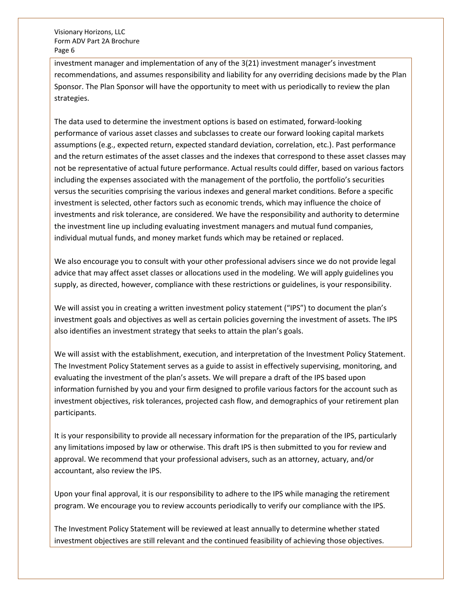investment manager and implementation of any of the 3(21) investment manager's investment recommendations, and assumes responsibility and liability for any overriding decisions made by the Plan Sponsor. The Plan Sponsor will have the opportunity to meet with us periodically to review the plan strategies.

The data used to determine the investment options is based on estimated, forward-looking performance of various asset classes and subclasses to create our forward looking capital markets assumptions (e.g., expected return, expected standard deviation, correlation, etc.). Past performance and the return estimates of the asset classes and the indexes that correspond to these asset classes may not be representative of actual future performance. Actual results could differ, based on various factors including the expenses associated with the management of the portfolio, the portfolio's securities versus the securities comprising the various indexes and general market conditions. Before a specific investment is selected, other factors such as economic trends, which may influence the choice of investments and risk tolerance, are considered. We have the responsibility and authority to determine the investment line up including evaluating investment managers and mutual fund companies, individual mutual funds, and money market funds which may be retained or replaced.

We also encourage you to consult with your other professional advisers since we do not provide legal advice that may affect asset classes or allocations used in the modeling. We will apply guidelines you supply, as directed, however, compliance with these restrictions or guidelines, is your responsibility.

We will assist you in creating a written investment policy statement ("IPS") to document the plan's investment goals and objectives as well as certain policies governing the investment of assets. The IPS also identifies an investment strategy that seeks to attain the plan's goals.

We will assist with the establishment, execution, and interpretation of the Investment Policy Statement. The Investment Policy Statement serves as a guide to assist in effectively supervising, monitoring, and evaluating the investment of the plan's assets. We will prepare a draft of the IPS based upon information furnished by you and your firm designed to profile various factors for the account such as investment objectives, risk tolerances, projected cash flow, and demographics of your retirement plan participants.

It is your responsibility to provide all necessary information for the preparation of the IPS, particularly any limitations imposed by law or otherwise. This draft IPS is then submitted to you for review and approval. We recommend that your professional advisers, such as an attorney, actuary, and/or accountant, also review the IPS.

Upon your final approval, it is our responsibility to adhere to the IPS while managing the retirement program. We encourage you to review accounts periodically to verify our compliance with the IPS.

The Investment Policy Statement will be reviewed at least annually to determine whether stated investment objectives are still relevant and the continued feasibility of achieving those objectives.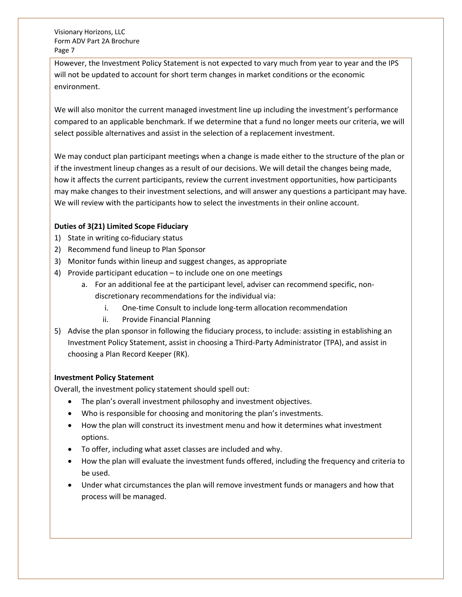However, the Investment Policy Statement is not expected to vary much from year to year and the IPS will not be updated to account for short term changes in market conditions or the economic environment.

We will also monitor the current managed investment line up including the investment's performance compared to an applicable benchmark. If we determine that a fund no longer meets our criteria, we will select possible alternatives and assist in the selection of a replacement investment.

We may conduct plan participant meetings when a change is made either to the structure of the plan or if the investment lineup changes as a result of our decisions. We will detail the changes being made, how it affects the current participants, review the current investment opportunities, how participants may make changes to their investment selections, and will answer any questions a participant may have. We will review with the participants how to select the investments in their online account.

## **Duties of 3(21) Limited Scope Fiduciary**

- 1) State in writing co-fiduciary status
- 2) Recommend fund lineup to Plan Sponsor
- 3) Monitor funds within lineup and suggest changes, as appropriate
- 4) Provide participant education to include one on one meetings
	- a. For an additional fee at the participant level, adviser can recommend specific, nondiscretionary recommendations for the individual via:
		- i. One-time Consult to include long-term allocation recommendation
		- ii. Provide Financial Planning
- 5) Advise the plan sponsor in following the fiduciary process, to include: assisting in establishing an Investment Policy Statement, assist in choosing a Third-Party Administrator (TPA), and assist in choosing a Plan Record Keeper (RK).

## **Investment Policy Statement**

Overall, the investment policy statement should spell out:

- The plan's overall investment philosophy and investment objectives.
- Who is responsible for choosing and monitoring the plan's investments.
- How the plan will construct its investment menu and how it determines what investment options.
- To offer, including what asset classes are included and why.
- How the plan will evaluate the investment funds offered, including the frequency and criteria to be used.
- Under what circumstances the plan will remove investment funds or managers and how that process will be managed.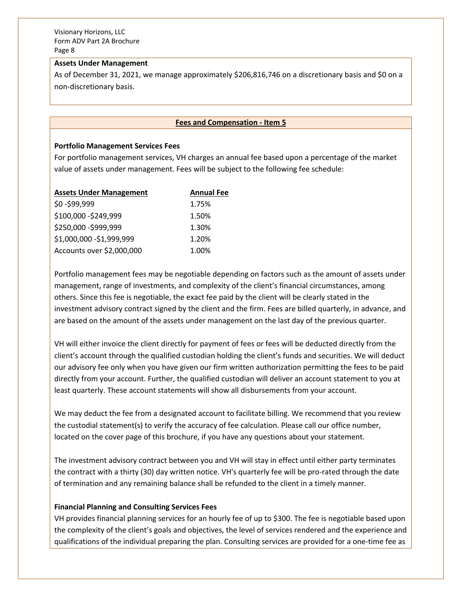#### **Assets Under Management**

As of December 31, 2021, we manage approximately \$206,816,746 on a discretionary basis and \$0 on a non-discretionary basis.

## **Fees and Compensation - Item 5**

#### **Portfolio Management Services Fees**

For portfolio management services, VH charges an annual fee based upon a percentage of the market value of assets under management. Fees will be subject to the following fee schedule:

| <b>Assets Under Management</b> | <b>Annual Fee</b> |
|--------------------------------|-------------------|
| \$0-\$99,999                   | 1.75%             |
| \$100,000 - \$249,999          | 1.50%             |
| \$250,000 - \$999,999          | 1.30%             |
| \$1,000,000 - \$1,999,999      | 1.20%             |
| Accounts over \$2,000,000      | 1.00%             |

Portfolio management fees may be negotiable depending on factors such as the amount of assets under management, range of investments, and complexity of the client's financial circumstances, among others. Since this fee is negotiable, the exact fee paid by the client will be clearly stated in the investment advisory contract signed by the client and the firm. Fees are billed quarterly, in advance, and are based on the amount of the assets under management on the last day of the previous quarter.

VH will either invoice the client directly for payment of fees or fees will be deducted directly from the client's account through the qualified custodian holding the client's funds and securities. We will deduct our advisory fee only when you have given our firm written authorization permitting the fees to be paid directly from your account. Further, the qualified custodian will deliver an account statement to you at least quarterly. These account statements will show all disbursements from your account.

We may deduct the fee from a designated account to facilitate billing. We recommend that you review the custodial statement(s) to verify the accuracy of fee calculation. Please call our office number, located on the cover page of this brochure, if you have any questions about your statement.

The investment advisory contract between you and VH will stay in effect until either party terminates the contract with a thirty (30) day written notice. VH's quarterly fee will be pro-rated through the date of termination and any remaining balance shall be refunded to the client in a timely manner.

## **Financial Planning and Consulting Services Fees**

VH provides financial planning services for an hourly fee of up to \$300. The fee is negotiable based upon the complexity of the client's goals and objectives, the level of services rendered and the experience and qualifications of the individual preparing the plan. Consulting services are provided for a one-time fee as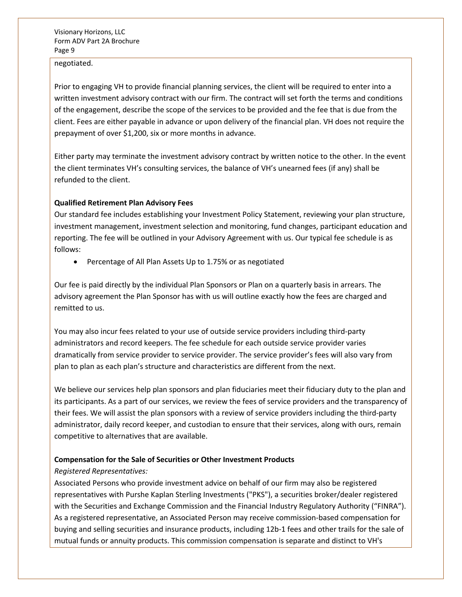negotiated.

Prior to engaging VH to provide financial planning services, the client will be required to enter into a written investment advisory contract with our firm. The contract will set forth the terms and conditions of the engagement, describe the scope of the services to be provided and the fee that is due from the client. Fees are either payable in advance or upon delivery of the financial plan. VH does not require the prepayment of over \$1,200, six or more months in advance.

Either party may terminate the investment advisory contract by written notice to the other. In the event the client terminates VH's consulting services, the balance of VH's unearned fees (if any) shall be refunded to the client.

## **Qualified Retirement Plan Advisory Fees**

Our standard fee includes establishing your Investment Policy Statement, reviewing your plan structure, investment management, investment selection and monitoring, fund changes, participant education and reporting. The fee will be outlined in your Advisory Agreement with us. Our typical fee schedule is as follows:

• Percentage of All Plan Assets Up to 1.75% or as negotiated

Our fee is paid directly by the individual Plan Sponsors or Plan on a quarterly basis in arrears. The advisory agreement the Plan Sponsor has with us will outline exactly how the fees are charged and remitted to us.

You may also incur fees related to your use of outside service providers including third-party administrators and record keepers. The fee schedule for each outside service provider varies dramatically from service provider to service provider. The service provider's fees will also vary from plan to plan as each plan's structure and characteristics are different from the next.

We believe our services help plan sponsors and plan fiduciaries meet their fiduciary duty to the plan and its participants. As a part of our services, we review the fees of service providers and the transparency of their fees. We will assist the plan sponsors with a review of service providers including the third-party administrator, daily record keeper, and custodian to ensure that their services, along with ours, remain competitive to alternatives that are available.

## **Compensation for the Sale of Securities or Other Investment Products**

## *Registered Representatives:*

Associated Persons who provide investment advice on behalf of our firm may also be registered representatives with Purshe Kaplan Sterling Investments ("PKS"), a securities broker/dealer registered with the Securities and Exchange Commission and the Financial Industry Regulatory Authority ("FINRA"). As a registered representative, an Associated Person may receive commission-based compensation for buying and selling securities and insurance products, including 12b-1 fees and other trails for the sale of mutual funds or annuity products. This commission compensation is separate and distinct to VH's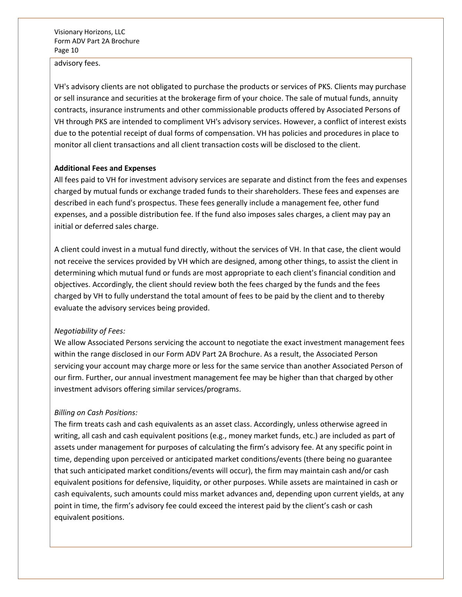#### advisory fees.

VH's advisory clients are not obligated to purchase the products or services of PKS. Clients may purchase or sell insurance and securities at the brokerage firm of your choice. The sale of mutual funds, annuity contracts, insurance instruments and other commissionable products offered by Associated Persons of VH through PKS are intended to compliment VH's advisory services. However, a conflict of interest exists due to the potential receipt of dual forms of compensation. VH has policies and procedures in place to monitor all client transactions and all client transaction costs will be disclosed to the client.

#### **Additional Fees and Expenses**

All fees paid to VH for investment advisory services are separate and distinct from the fees and expenses charged by mutual funds or exchange traded funds to their shareholders. These fees and expenses are described in each fund's prospectus. These fees generally include a management fee, other fund expenses, and a possible distribution fee. If the fund also imposes sales charges, a client may pay an initial or deferred sales charge.

A client could invest in a mutual fund directly, without the services of VH. In that case, the client would not receive the services provided by VH which are designed, among other things, to assist the client in determining which mutual fund or funds are most appropriate to each client's financial condition and objectives. Accordingly, the client should review both the fees charged by the funds and the fees charged by VH to fully understand the total amount of fees to be paid by the client and to thereby evaluate the advisory services being provided.

#### *Negotiability of Fees:*

We allow Associated Persons servicing the account to negotiate the exact investment management fees within the range disclosed in our Form ADV Part 2A Brochure. As a result, the Associated Person servicing your account may charge more or less for the same service than another Associated Person of our firm. Further, our annual investment management fee may be higher than that charged by other investment advisors offering similar services/programs.

#### *Billing on Cash Positions:*

The firm treats cash and cash equivalents as an asset class. Accordingly, unless otherwise agreed in writing, all cash and cash equivalent positions (e.g., money market funds, etc.) are included as part of assets under management for purposes of calculating the firm's advisory fee. At any specific point in time, depending upon perceived or anticipated market conditions/events (there being no guarantee that such anticipated market conditions/events will occur), the firm may maintain cash and/or cash equivalent positions for defensive, liquidity, or other purposes. While assets are maintained in cash or cash equivalents, such amounts could miss market advances and, depending upon current yields, at any point in time, the firm's advisory fee could exceed the interest paid by the client's cash or cash equivalent positions.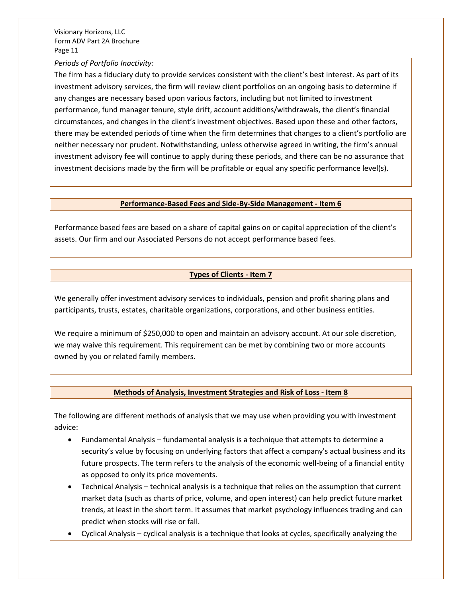#### *Periods of Portfolio Inactivity:*

The firm has a fiduciary duty to provide services consistent with the client's best interest. As part of its investment advisory services, the firm will review client portfolios on an ongoing basis to determine if any changes are necessary based upon various factors, including but not limited to investment performance, fund manager tenure, style drift, account additions/withdrawals, the client's financial circumstances, and changes in the client's investment objectives. Based upon these and other factors, there may be extended periods of time when the firm determines that changes to a client's portfolio are neither necessary nor prudent. Notwithstanding, unless otherwise agreed in writing, the firm's annual investment advisory fee will continue to apply during these periods, and there can be no assurance that investment decisions made by the firm will be profitable or equal any specific performance level(s).

#### **Performance-Based Fees and Side-By-Side Management - Item 6**

Performance based fees are based on a share of capital gains on or capital appreciation of the client's assets. Our firm and our Associated Persons do not accept performance based fees.

## **Types of Clients - Item 7**

We generally offer investment advisory services to individuals, pension and profit sharing plans and participants, trusts, estates, charitable organizations, corporations, and other business entities.

We require a minimum of \$250,000 to open and maintain an advisory account. At our sole discretion, we may waive this requirement. This requirement can be met by combining two or more accounts owned by you or related family members.

## **Methods of Analysis, Investment Strategies and Risk of Loss - Item 8**

The following are different methods of analysis that we may use when providing you with investment advice:

- Fundamental Analysis fundamental analysis is a technique that attempts to determine a security's value by focusing on underlying factors that affect a company's actual business and its future prospects. The term refers to the analysis of the economic well-being of a financial entity as opposed to only its price movements.
- Technical Analysis technical analysis is a technique that relies on the assumption that current market data (such as charts of price, volume, and open interest) can help predict future market trends, at least in the short term. It assumes that market psychology influences trading and can predict when stocks will rise or fall.
- Cyclical Analysis cyclical analysis is a technique that looks at cycles, specifically analyzing the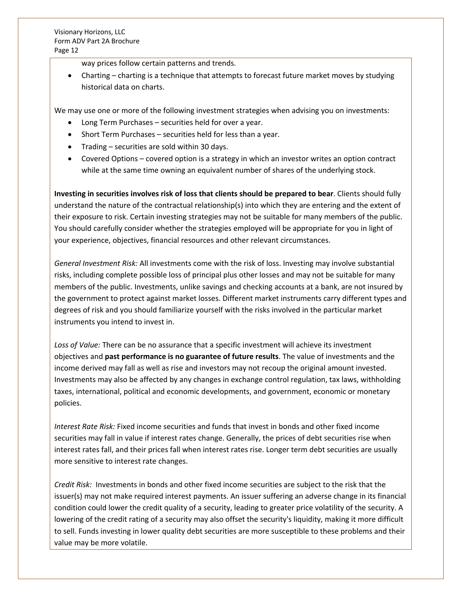way prices follow certain patterns and trends.

• Charting – charting is a technique that attempts to forecast future market moves by studying historical data on charts.

We may use one or more of the following investment strategies when advising you on investments:

- Long Term Purchases securities held for over a year.
- Short Term Purchases securities held for less than a year.
- Trading securities are sold within 30 days.
- Covered Options covered option is a strategy in which an investor writes an option contract while at the same time owning an equivalent number of shares of the underlying stock.

**Investing in securities involves risk of loss that clients should be prepared to bear**. Clients should fully understand the nature of the contractual relationship(s) into which they are entering and the extent of their exposure to risk. Certain investing strategies may not be suitable for many members of the public. You should carefully consider whether the strategies employed will be appropriate for you in light of your experience, objectives, financial resources and other relevant circumstances.

*General Investment Risk:* All investments come with the risk of loss. Investing may involve substantial risks, including complete possible loss of principal plus other losses and may not be suitable for many members of the public. Investments, unlike savings and checking accounts at a bank, are not insured by the government to protect against market losses. Different market instruments carry different types and degrees of risk and you should familiarize yourself with the risks involved in the particular market instruments you intend to invest in.

*Loss of Value:* There can be no assurance that a specific investment will achieve its investment objectives and **past performance is no guarantee of future results**. The value of investments and the income derived may fall as well as rise and investors may not recoup the original amount invested. Investments may also be affected by any changes in exchange control regulation, tax laws, withholding taxes, international, political and economic developments, and government, economic or monetary policies.

*Interest Rate Risk:* Fixed income securities and funds that invest in bonds and other fixed income securities may fall in value if interest rates change. Generally, the prices of debt securities rise when interest rates fall, and their prices fall when interest rates rise. Longer term debt securities are usually more sensitive to interest rate changes.

*Credit Risk:* Investments in bonds and other fixed income securities are subject to the risk that the issuer(s) may not make required interest payments. An issuer suffering an adverse change in its financial condition could lower the credit quality of a security, leading to greater price volatility of the security. A lowering of the credit rating of a security may also offset the security's liquidity, making it more difficult to sell. Funds investing in lower quality debt securities are more susceptible to these problems and their value may be more volatile.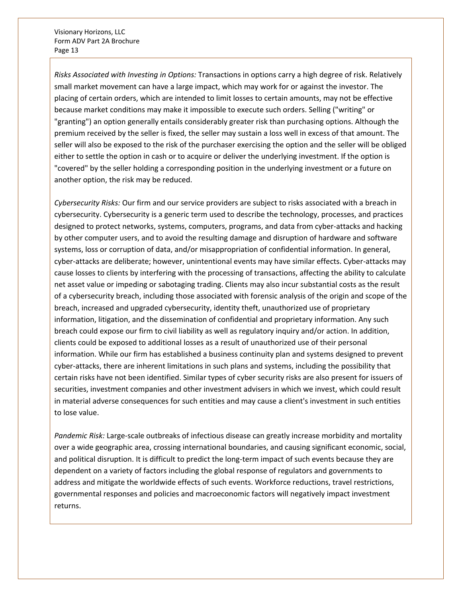*Risks Associated with Investing in Options:* Transactions in options carry a high degree of risk. Relatively small market movement can have a large impact, which may work for or against the investor. The placing of certain orders, which are intended to limit losses to certain amounts, may not be effective because market conditions may make it impossible to execute such orders. Selling ("writing" or "granting") an option generally entails considerably greater risk than purchasing options. Although the premium received by the seller is fixed, the seller may sustain a loss well in excess of that amount. The seller will also be exposed to the risk of the purchaser exercising the option and the seller will be obliged either to settle the option in cash or to acquire or deliver the underlying investment. If the option is "covered" by the seller holding a corresponding position in the underlying investment or a future on another option, the risk may be reduced.

*Cybersecurity Risks:* Our firm and our service providers are subject to risks associated with a breach in cybersecurity. Cybersecurity is a generic term used to describe the technology, processes, and practices designed to protect networks, systems, computers, programs, and data from cyber-attacks and hacking by other computer users, and to avoid the resulting damage and disruption of hardware and software systems, loss or corruption of data, and/or misappropriation of confidential information. In general, cyber-attacks are deliberate; however, unintentional events may have similar effects. Cyber-attacks may cause losses to clients by interfering with the processing of transactions, affecting the ability to calculate net asset value or impeding or sabotaging trading. Clients may also incur substantial costs as the result of a cybersecurity breach, including those associated with forensic analysis of the origin and scope of the breach, increased and upgraded cybersecurity, identity theft, unauthorized use of proprietary information, litigation, and the dissemination of confidential and proprietary information. Any such breach could expose our firm to civil liability as well as regulatory inquiry and/or action. In addition, clients could be exposed to additional losses as a result of unauthorized use of their personal information. While our firm has established a business continuity plan and systems designed to prevent cyber-attacks, there are inherent limitations in such plans and systems, including the possibility that certain risks have not been identified. Similar types of cyber security risks are also present for issuers of securities, investment companies and other investment advisers in which we invest, which could result in material adverse consequences for such entities and may cause a client's investment in such entities to lose value.

*Pandemic Risk:* Large-scale outbreaks of infectious disease can greatly increase morbidity and mortality over a wide geographic area, crossing international boundaries, and causing significant economic, social, and political disruption. It is difficult to predict the long-term impact of such events because they are dependent on a variety of factors including the global response of regulators and governments to address and mitigate the worldwide effects of such events. Workforce reductions, travel restrictions, governmental responses and policies and macroeconomic factors will negatively impact investment returns.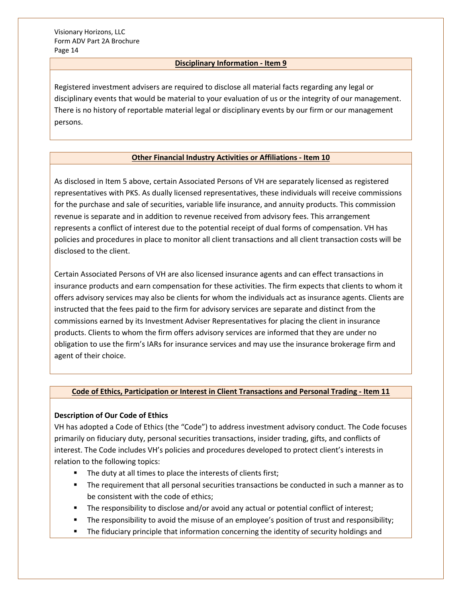## **Disciplinary Information - Item 9**

Registered investment advisers are required to disclose all material facts regarding any legal or disciplinary events that would be material to your evaluation of us or the integrity of our management. There is no history of reportable material legal or disciplinary events by our firm or our management persons.

## **Other Financial Industry Activities or Affiliations - Item 10**

As disclosed in Item 5 above, certain Associated Persons of VH are separately licensed as registered representatives with PKS. As dually licensed representatives, these individuals will receive commissions for the purchase and sale of securities, variable life insurance, and annuity products. This commission revenue is separate and in addition to revenue received from advisory fees. This arrangement represents a conflict of interest due to the potential receipt of dual forms of compensation. VH has policies and procedures in place to monitor all client transactions and all client transaction costs will be disclosed to the client.

Certain Associated Persons of VH are also licensed insurance agents and can effect transactions in insurance products and earn compensation for these activities. The firm expects that clients to whom it offers advisory services may also be clients for whom the individuals act as insurance agents. Clients are instructed that the fees paid to the firm for advisory services are separate and distinct from the commissions earned by its Investment Adviser Representatives for placing the client in insurance products. Clients to whom the firm offers advisory services are informed that they are under no obligation to use the firm's IARs for insurance services and may use the insurance brokerage firm and agent of their choice.

## **Code of Ethics, Participation or Interest in Client Transactions and Personal Trading - Item 11**

## **Description of Our Code of Ethics**

VH has adopted a Code of Ethics (the "Code") to address investment advisory conduct. The Code focuses primarily on fiduciary duty, personal securities transactions, insider trading, gifts, and conflicts of interest. The Code includes VH's policies and procedures developed to protect client's interests in relation to the following topics:

- The duty at all times to place the interests of clients first;
- **•** The requirement that all personal securities transactions be conducted in such a manner as to be consistent with the code of ethics;
- The responsibility to disclose and/or avoid any actual or potential conflict of interest;
- The responsibility to avoid the misuse of an employee's position of trust and responsibility;
- The fiduciary principle that information concerning the identity of security holdings and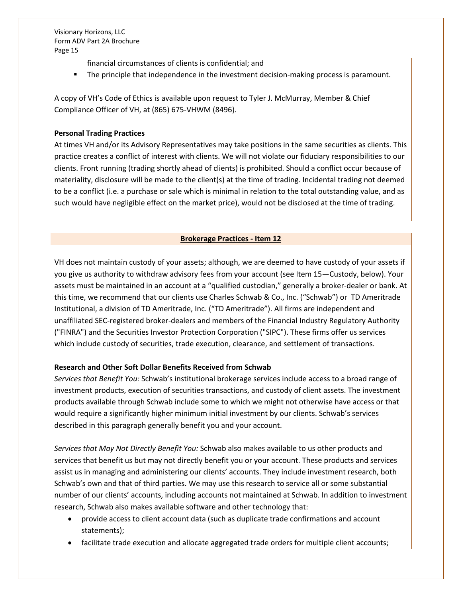- financial circumstances of clients is confidential; and
- The principle that independence in the investment decision-making process is paramount.

A copy of VH's Code of Ethics is available upon request to Tyler J. McMurray, Member & Chief Compliance Officer of VH, at (865) 675-VHWM (8496).

## **Personal Trading Practices**

At times VH and/or its Advisory Representatives may take positions in the same securities as clients. This practice creates a conflict of interest with clients. We will not violate our fiduciary responsibilities to our clients. Front running (trading shortly ahead of clients) is prohibited. Should a conflict occur because of materiality, disclosure will be made to the client(s) at the time of trading. Incidental trading not deemed to be a conflict (i.e. a purchase or sale which is minimal in relation to the total outstanding value, and as such would have negligible effect on the market price), would not be disclosed at the time of trading.

## **Brokerage Practices - Item 12**

VH does not maintain custody of your assets; although, we are deemed to have custody of your assets if you give us authority to withdraw advisory fees from your account (see Item 15—Custody, below). Your assets must be maintained in an account at a "qualified custodian," generally a broker-dealer or bank. At this time, we recommend that our clients use Charles Schwab & Co., Inc. ("Schwab") or TD Ameritrade Institutional, a division of TD Ameritrade, Inc. ("TD Ameritrade"). All firms are independent and unaffiliated SEC-registered broker-dealers and members of the Financial Industry Regulatory Authority ("FINRA") and the Securities Investor Protection Corporation ("SIPC"). These firms offer us services which include custody of securities, trade execution, clearance, and settlement of transactions.

## **Research and Other Soft Dollar Benefits Received from Schwab**

*Services that Benefit You:* Schwab's institutional brokerage services include access to a broad range of investment products, execution of securities transactions, and custody of client assets. The investment products available through Schwab include some to which we might not otherwise have access or that would require a significantly higher minimum initial investment by our clients. Schwab's services described in this paragraph generally benefit you and your account.

*Services that May Not Directly Benefit You:* Schwab also makes available to us other products and services that benefit us but may not directly benefit you or your account. These products and services assist us in managing and administering our clients' accounts. They include investment research, both Schwab's own and that of third parties. We may use this research to service all or some substantial number of our clients' accounts, including accounts not maintained at Schwab. In addition to investment research, Schwab also makes available software and other technology that:

- provide access to client account data (such as duplicate trade confirmations and account statements);
- facilitate trade execution and allocate aggregated trade orders for multiple client accounts;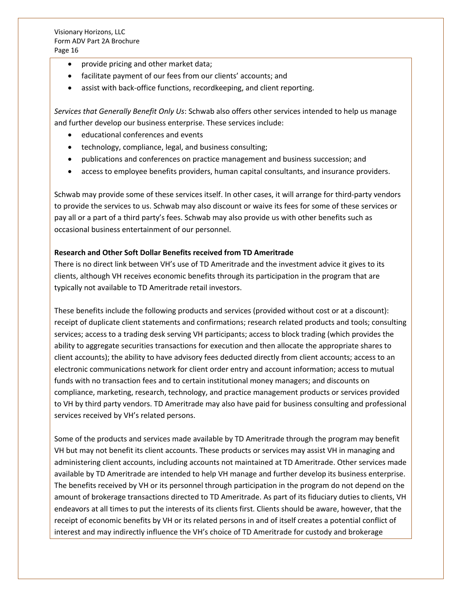- provide pricing and other market data;
- facilitate payment of our fees from our clients' accounts; and
- assist with back-office functions, recordkeeping, and client reporting.

*Services that Generally Benefit Only Us*: Schwab also offers other services intended to help us manage and further develop our business enterprise. These services include:

- educational conferences and events
- technology, compliance, legal, and business consulting;
- publications and conferences on practice management and business succession; and
- access to employee benefits providers, human capital consultants, and insurance providers.

Schwab may provide some of these services itself. In other cases, it will arrange for third-party vendors to provide the services to us. Schwab may also discount or waive its fees for some of these services or pay all or a part of a third party's fees. Schwab may also provide us with other benefits such as occasional business entertainment of our personnel.

## **Research and Other Soft Dollar Benefits received from TD Ameritrade**

There is no direct link between VH's use of TD Ameritrade and the investment advice it gives to its clients, although VH receives economic benefits through its participation in the program that are typically not available to TD Ameritrade retail investors.

These benefits include the following products and services (provided without cost or at a discount): receipt of duplicate client statements and confirmations; research related products and tools; consulting services; access to a trading desk serving VH participants; access to block trading (which provides the ability to aggregate securities transactions for execution and then allocate the appropriate shares to client accounts); the ability to have advisory fees deducted directly from client accounts; access to an electronic communications network for client order entry and account information; access to mutual funds with no transaction fees and to certain institutional money managers; and discounts on compliance, marketing, research, technology, and practice management products or services provided to VH by third party vendors. TD Ameritrade may also have paid for business consulting and professional services received by VH's related persons.

Some of the products and services made available by TD Ameritrade through the program may benefit VH but may not benefit its client accounts. These products or services may assist VH in managing and administering client accounts, including accounts not maintained at TD Ameritrade. Other services made available by TD Ameritrade are intended to help VH manage and further develop its business enterprise. The benefits received by VH or its personnel through participation in the program do not depend on the amount of brokerage transactions directed to TD Ameritrade. As part of its fiduciary duties to clients, VH endeavors at all times to put the interests of its clients first. Clients should be aware, however, that the receipt of economic benefits by VH or its related persons in and of itself creates a potential conflict of interest and may indirectly influence the VH's choice of TD Ameritrade for custody and brokerage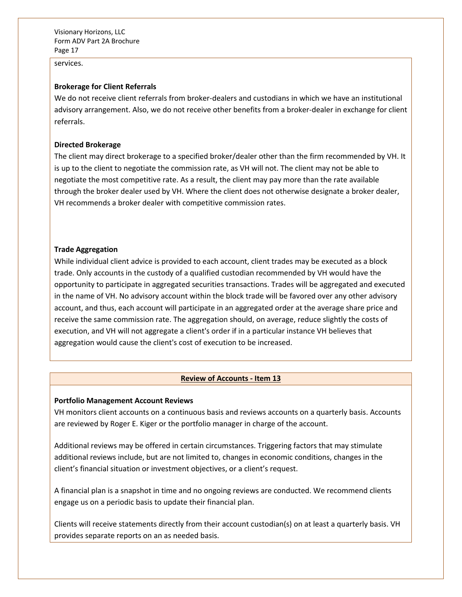services.

#### **Brokerage for Client Referrals**

We do not receive client referrals from broker-dealers and custodians in which we have an institutional advisory arrangement. Also, we do not receive other benefits from a broker-dealer in exchange for client referrals.

#### **Directed Brokerage**

The client may direct brokerage to a specified broker/dealer other than the firm recommended by VH. It is up to the client to negotiate the commission rate, as VH will not. The client may not be able to negotiate the most competitive rate. As a result, the client may pay more than the rate available through the broker dealer used by VH. Where the client does not otherwise designate a broker dealer, VH recommends a broker dealer with competitive commission rates.

#### **Trade Aggregation**

While individual client advice is provided to each account, client trades may be executed as a block trade. Only accounts in the custody of a qualified custodian recommended by VH would have the opportunity to participate in aggregated securities transactions. Trades will be aggregated and executed in the name of VH. No advisory account within the block trade will be favored over any other advisory account, and thus, each account will participate in an aggregated order at the average share price and receive the same commission rate. The aggregation should, on average, reduce slightly the costs of execution, and VH will not aggregate a client's order if in a particular instance VH believes that aggregation would cause the client's cost of execution to be increased.

#### **Review of Accounts - Item 13**

#### **Portfolio Management Account Reviews**

VH monitors client accounts on a continuous basis and reviews accounts on a quarterly basis. Accounts are reviewed by Roger E. Kiger or the portfolio manager in charge of the account.

Additional reviews may be offered in certain circumstances. Triggering factors that may stimulate additional reviews include, but are not limited to, changes in economic conditions, changes in the client's financial situation or investment objectives, or a client's request.

A financial plan is a snapshot in time and no ongoing reviews are conducted. We recommend clients engage us on a periodic basis to update their financial plan.

Clients will receive statements directly from their account custodian(s) on at least a quarterly basis. VH provides separate reports on an as needed basis.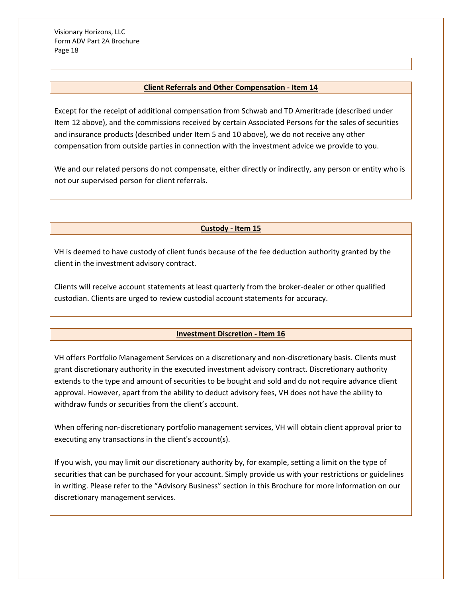#### **Client Referrals and Other Compensation - Item 14**

Except for the receipt of additional compensation from Schwab and TD Ameritrade (described under Item 12 above), and the commissions received by certain Associated Persons for the sales of securities and insurance products (described under Item 5 and 10 above), we do not receive any other compensation from outside parties in connection with the investment advice we provide to you.

We and our related persons do not compensate, either directly or indirectly, any person or entity who is not our supervised person for client referrals.

## **Custody - Item 15**

VH is deemed to have custody of client funds because of the fee deduction authority granted by the client in the investment advisory contract.

Clients will receive account statements at least quarterly from the broker-dealer or other qualified custodian. Clients are urged to review custodial account statements for accuracy.

## **Investment Discretion - Item 16**

VH offers Portfolio Management Services on a discretionary and non-discretionary basis. Clients must grant discretionary authority in the executed investment advisory contract. Discretionary authority extends to the type and amount of securities to be bought and sold and do not require advance client approval. However, apart from the ability to deduct advisory fees, VH does not have the ability to withdraw funds or securities from the client's account.

When offering non-discretionary portfolio management services, VH will obtain client approval prior to executing any transactions in the client's account(s).

If you wish, you may limit our discretionary authority by, for example, setting a limit on the type of securities that can be purchased for your account. Simply provide us with your restrictions or guidelines in writing. Please refer to the "Advisory Business" section in this Brochure for more information on our discretionary management services.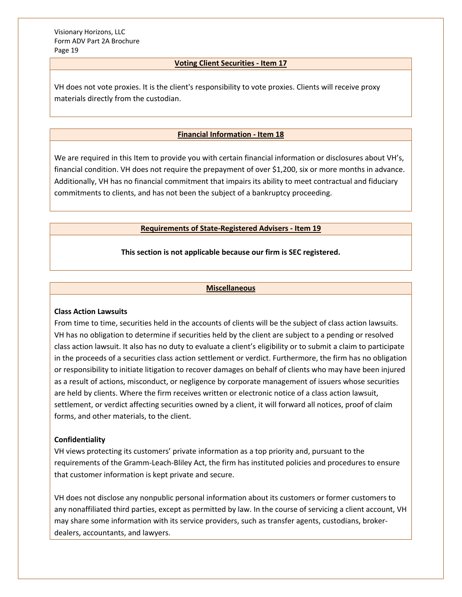## **Voting Client Securities - Item 17**

VH does not vote proxies. It is the client's responsibility to vote proxies. Clients will receive proxy materials directly from the custodian.

#### **Financial Information - Item 18**

We are required in this Item to provide you with certain financial information or disclosures about VH's, financial condition. VH does not require the prepayment of over \$1,200, six or more months in advance. Additionally, VH has no financial commitment that impairs its ability to meet contractual and fiduciary commitments to clients, and has not been the subject of a bankruptcy proceeding.

#### **Requirements of State-Registered Advisers - Item 19**

#### **This section is not applicable because our firm is SEC registered.**

#### **Miscellaneous**

#### **Class Action Lawsuits**

From time to time, securities held in the accounts of clients will be the subject of class action lawsuits. VH has no obligation to determine if securities held by the client are subject to a pending or resolved class action lawsuit. It also has no duty to evaluate a client's eligibility or to submit a claim to participate in the proceeds of a securities class action settlement or verdict. Furthermore, the firm has no obligation or responsibility to initiate litigation to recover damages on behalf of clients who may have been injured as a result of actions, misconduct, or negligence by corporate management of issuers whose securities are held by clients. Where the firm receives written or electronic notice of a class action lawsuit, settlement, or verdict affecting securities owned by a client, it will forward all notices, proof of claim forms, and other materials, to the client.

#### **Confidentiality**

VH views protecting its customers' private information as a top priority and, pursuant to the requirements of the Gramm-Leach-Bliley Act, the firm has instituted policies and procedures to ensure that customer information is kept private and secure.

VH does not disclose any nonpublic personal information about its customers or former customers to any nonaffiliated third parties, except as permitted by law. In the course of servicing a client account, VH may share some information with its service providers, such as transfer agents, custodians, brokerdealers, accountants, and lawyers.